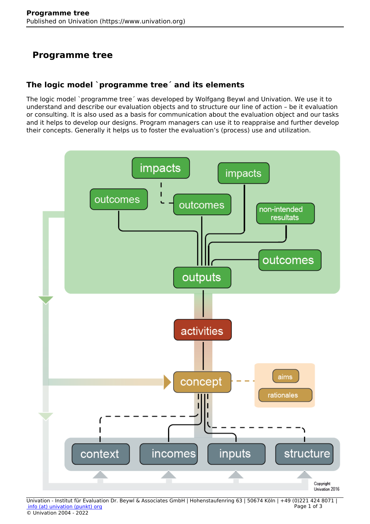## **Programme tree**

## **The logic model `programme tree´ and its elements**

The logic model `programme tree´ was developed by Wolfgang Beywl and Univation. We use it to understand and describe our evaluation objects and to structure our line of action – be it evaluation or consulting. It is also used as a basis for communication about the evaluation object and our tasks and it helps to develop our designs. Program managers can use it to reappraise and further develop their concepts. Generally it helps us to foster the evaluation's (process) use and utilization.



Univation - Institut für Evaluation Dr. Beywl & Associates GmbH | Hohenstaufenring 63 | 50674 Köln | +49 (0)221 424 8071 |  [info \(at\) univation \(punkt\) org](mailto:info@univation.org) © Univation 2004 - 2022 Page 1 of 3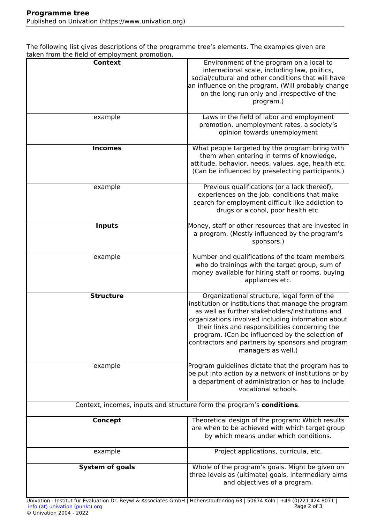The following list gives descriptions of the programme tree's elements. The examples given are taken from the field of employment promotion.

| and monetal network corporations promotion.                                                                                                                   |                                                                                                                                                                                                                                                                                                                                                                                              |
|---------------------------------------------------------------------------------------------------------------------------------------------------------------|----------------------------------------------------------------------------------------------------------------------------------------------------------------------------------------------------------------------------------------------------------------------------------------------------------------------------------------------------------------------------------------------|
| <b>Context</b><br>example                                                                                                                                     | Environment of the program on a local to<br>international scale, including law, politics,<br>social/cultural and other conditions that will have<br>an influence on the program. (Will probably change<br>on the long run only and irrespective of the<br>program.)<br>Laws in the field of labor and employment                                                                             |
|                                                                                                                                                               | promotion, unemployment rates, a society's<br>opinion towards unemployment                                                                                                                                                                                                                                                                                                                   |
| <b>Incomes</b>                                                                                                                                                | What people targeted by the program bring with<br>them when entering in terms of knowledge,<br>attitude, behavior, needs, values, age, health etc.<br>(Can be influenced by preselecting participants.)                                                                                                                                                                                      |
| example                                                                                                                                                       | Previous qualifications (or a lack thereof),<br>experiences on the job, conditions that make<br>search for employment difficult like addiction to<br>drugs or alcohol, poor health etc.                                                                                                                                                                                                      |
| <b>Inputs</b>                                                                                                                                                 | Money, staff or other resources that are invested in<br>a program. (Mostly influenced by the program's<br>sponsors.)                                                                                                                                                                                                                                                                         |
| example                                                                                                                                                       | Number and qualifications of the team members<br>who do trainings with the target group, sum of<br>money available for hiring staff or rooms, buying<br>appliances etc.                                                                                                                                                                                                                      |
| <b>Structure</b>                                                                                                                                              | Organizational structure, legal form of the<br>institution or institutions that manage the program<br>as well as further stakeholders/institutions and<br>organizations involved including information about<br>their links and responsibilities concerning the<br>program. (Can be influenced by the selection of<br>contractors and partners by sponsors and program<br>managers as well.) |
| example                                                                                                                                                       | Program guidelines dictate that the program has to<br>be put into action by a network of institutions or by<br>a department of administration or has to include<br>vocational schools.                                                                                                                                                                                                       |
| Context, incomes, inputs and structure form the program's conditions.                                                                                         |                                                                                                                                                                                                                                                                                                                                                                                              |
| Concept                                                                                                                                                       | Theoretical design of the program: Which results<br>are when to be achieved with which target group<br>by which means under which conditions.                                                                                                                                                                                                                                                |
| example                                                                                                                                                       | Project applications, curricula, etc.                                                                                                                                                                                                                                                                                                                                                        |
| <b>System of goals</b>                                                                                                                                        | Whole of the program's goals. Might be given on<br>three levels as (ultimate) goals, intermediary aims<br>and objectives of a program.                                                                                                                                                                                                                                                       |
| Univation - Institut für Evaluation Dr. Beywl & Associates GmbH   Hohenstaufenring 63   50674 Köln   +49 (0)221 424 8071  <br>info (at) univation (punkt) org | Page 2 of 3                                                                                                                                                                                                                                                                                                                                                                                  |